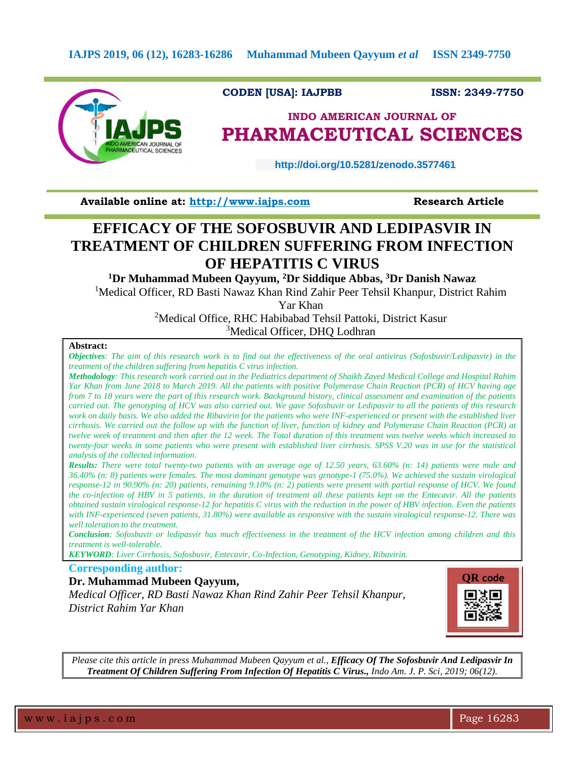

## **CODEN [USA]: IAJPBB ISSN: 2349-7750**

## **INDO AMERICAN JOURNAL OF PHARMACEUTICAL SCIENCES**

 **http://doi.org/10.5281/zenodo.3577461** 

**Available online at: [http://www.iajps.com](http://www.iajps.com/)****Research Article**

# **EFFICACY OF THE SOFOSBUVIR AND LEDIPASVIR IN TREATMENT OF CHILDREN SUFFERING FROM INFECTION OF HEPATITIS C VIRUS**

**<sup>1</sup>Dr Muhammad Mubeen Qayyum, <sup>2</sup>Dr Siddique Abbas, <sup>3</sup>Dr Danish Nawaz**

<sup>1</sup>Medical Officer, RD Basti Nawaz Khan Rind Zahir Peer Tehsil Khanpur, District Rahim

Yar Khan

<sup>2</sup>Medical Office, RHC Habibabad Tehsil Pattoki, District Kasur <sup>3</sup>Medical Officer, DHQ Lodhran

#### **Abstract:**

*Objectives: The aim of this research work is to find out the effectiveness of the oral antivirus (Sofosbuvir/Ledipasvir) in the treatment of the children suffering from hepatitis C virus infection.* 

*Methodology: This research work carried out in the Pediatrics department of Shaikh Zayed Medical College and Hospital Rahim Yar Khan from June 2018 to March 2019. All the patients with positive Polymerase Chain Reaction (PCR) of HCV having age from 7 to 18 years were the part of this research work. Background history, clinical assessment and examination of the patients carried out. The genotyping of HCV was also carried out. We gave Sofosbuvir or Ledipasvir to all the patients of this research work on daily basis. We also added the Ribavirin for the patients who were INF-experienced or present with the established liver cirrhosis. We carried out the follow up with the function of liver, function of kidney and Polymerase Chain Reaction (PCR) at twelve week of treatment and then after the 12 week. The Total duration of this treatment was twelve weeks which increased to twenty-four weeks in some patients who were present with established liver cirrhosis. SPSS V.20 was in use for the statistical analysis of the collected information.* 

*Results: There were total twenty-two patients with an average age of 12.50 years, 63.60% (n: 14) patients were male and 36.40% (n: 8) patients were females. The most dominant genotype was grnotype-1 (75.0%). We achieved the sustain virological response-12 in 90.90% (n: 20) patients, remaining 9.10% (n: 2) patients were present with partial response of HCV. We found the co-infection of HBV in 5 patients, in the duration of treatment all these patients kept on the Entecavir. All the patients obtained sustain virological response-12 for hepatitis C virus with the reduction in the power of HBV infection. Even the patients with INF-experienced (seven patients, 31.80%) were available as responsive with the sustain virological response-12. There was well toleration to the treatment.* 

*Conclusion: Sofosbuvir or ledipasvir has much effectiveness in the treatment of the HCV infection among children and this treatment is well-tolerable.* 

*KEYWORD: Liver Cirrhosis, Sofosbuvir, Entecavir, Co-Infection, Genotyping, Kidney, Ribavirin.*

## **Corresponding author:**

### **Dr. Muhammad Mubeen Qayyum,**

*Medical Officer, RD Basti Nawaz Khan Rind Zahir Peer Tehsil Khanpur, District Rahim Yar Khan*



*Please cite this article in press Muhammad Mubeen Qayyum et al., Efficacy Of The Sofosbuvir And Ledipasvir In Treatment Of Children Suffering From Infection Of Hepatitis C Virus., Indo Am. J. P. Sci, 2019; 06(12).*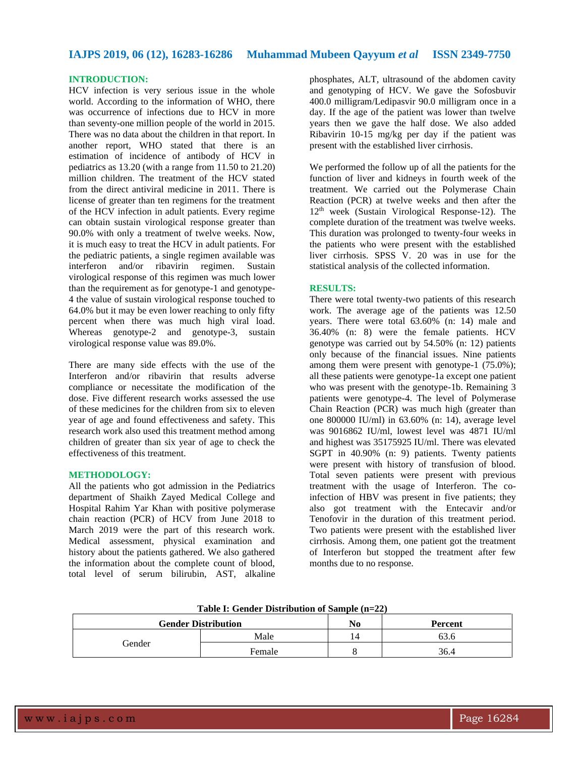## **IAJPS 2019, 06 (12), 16283-16286 Muhammad Mubeen Qayyum** *et al* **ISSN 2349-7750**

## **INTRODUCTION:**

HCV infection is very serious issue in the whole world. According to the information of WHO, there was occurrence of infections due to HCV in more than seventy-one million people of the world in 2015. There was no data about the children in that report. In another report, WHO stated that there is an estimation of incidence of antibody of HCV in pediatrics as 13.20 (with a range from 11.50 to 21.20) million children. The treatment of the HCV stated from the direct antiviral medicine in 2011. There is license of greater than ten regimens for the treatment of the HCV infection in adult patients. Every regime can obtain sustain virological response greater than 90.0% with only a treatment of twelve weeks. Now, it is much easy to treat the HCV in adult patients. For the pediatric patients, a single regimen available was interferon and/or ribavirin regimen. Sustain virological response of this regimen was much lower than the requirement as for genotype-1 and genotype-4 the value of sustain virological response touched to 64.0% but it may be even lower reaching to only fifty percent when there was much high viral load. Whereas genotype-2 and genotype-3, sustain virological response value was 89.0%.

There are many side effects with the use of the Interferon and/or ribavirin that results adverse compliance or necessitate the modification of the dose. Five different research works assessed the use of these medicines for the children from six to eleven year of age and found effectiveness and safety. This research work also used this treatment method among children of greater than six year of age to check the effectiveness of this treatment.

#### **METHODOLOGY:**

All the patients who got admission in the Pediatrics department of Shaikh Zayed Medical College and Hospital Rahim Yar Khan with positive polymerase chain reaction (PCR) of HCV from June 2018 to March 2019 were the part of this research work. Medical assessment, physical examination and history about the patients gathered. We also gathered the information about the complete count of blood, total level of serum bilirubin, AST, alkaline

phosphates, ALT, ultrasound of the abdomen cavity and genotyping of HCV. We gave the Sofosbuvir 400.0 milligram/Ledipasvir 90.0 milligram once in a day. If the age of the patient was lower than twelve years then we gave the half dose. We also added Ribavirin 10-15 mg/kg per day if the patient was present with the established liver cirrhosis.

We performed the follow up of all the patients for the function of liver and kidneys in fourth week of the treatment. We carried out the Polymerase Chain Reaction (PCR) at twelve weeks and then after the 12th week (Sustain Virological Response-12). The complete duration of the treatment was twelve weeks. This duration was prolonged to twenty-four weeks in the patients who were present with the established liver cirrhosis. SPSS V. 20 was in use for the statistical analysis of the collected information.

#### **RESULTS:**

There were total twenty-two patients of this research work. The average age of the patients was 12.50 years. There were total 63.60% (n: 14) male and 36.40% (n: 8) were the female patients. HCV genotype was carried out by 54.50% (n: 12) patients only because of the financial issues. Nine patients among them were present with genotype-1 (75.0%); all these patients were genotype-1a except one patient who was present with the genotype-1b. Remaining 3 patients were genotype-4. The level of Polymerase Chain Reaction (PCR) was much high (greater than one 800000 IU/ml) in 63.60% (n: 14), average level was 9016862 IU/ml, lowest level was 4871 IU/ml and highest was 35175925 IU/ml. There was elevated SGPT in 40.90% (n: 9) patients. Twenty patients were present with history of transfusion of blood. Total seven patients were present with previous treatment with the usage of Interferon. The coinfection of HBV was present in five patients; they also got treatment with the Entecavir and/or Tenofovir in the duration of this treatment period. Two patients were present with the established liver cirrhosis. Among them, one patient got the treatment of Interferon but stopped the treatment after few months due to no response.

| Table 1: Gender Distribution of Sample (n=22) |        |                |         |
|-----------------------------------------------|--------|----------------|---------|
| <b>Gender Distribution</b>                    |        | N <sub>0</sub> | Percent |
| Gender                                        | Male   | 14             | 63.6    |
|                                               | Female |                | 36.4    |
|                                               |        |                |         |

**Table I: Gender Distribution of Sample (n=22)**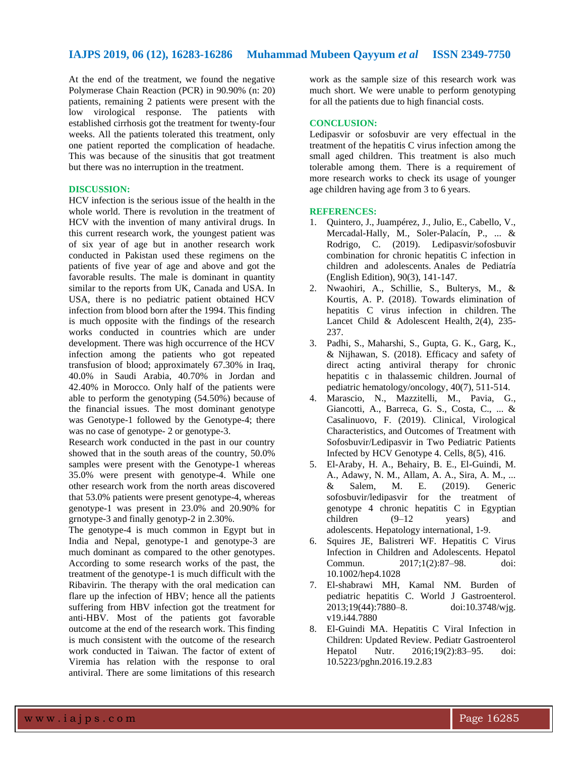## **IAJPS 2019, 06 (12), 16283-16286 Muhammad Mubeen Qayyum** *et al* **ISSN 2349-7750**

At the end of the treatment, we found the negative Polymerase Chain Reaction (PCR) in 90.90% (n: 20) patients, remaining 2 patients were present with the low virological response. The patients with established cirrhosis got the treatment for twenty-four weeks. All the patients tolerated this treatment, only one patient reported the complication of headache. This was because of the sinusitis that got treatment but there was no interruption in the treatment.

#### **DISCUSSION:**

HCV infection is the serious issue of the health in the whole world. There is revolution in the treatment of HCV with the invention of many antiviral drugs. In this current research work, the youngest patient was of six year of age but in another research work conducted in Pakistan used these regimens on the patients of five year of age and above and got the favorable results. The male is dominant in quantity similar to the reports from UK, Canada and USA. In USA, there is no pediatric patient obtained HCV infection from blood born after the 1994. This finding is much opposite with the findings of the research works conducted in countries which are under development. There was high occurrence of the HCV infection among the patients who got repeated transfusion of blood; approximately 67.30% in Iraq, 40.0% in Saudi Arabia, 40.70% in Jordan and 42.40% in Morocco. Only half of the patients were able to perform the genotyping (54.50%) because of the financial issues. The most dominant genotype was Genotype-1 followed by the Genotype-4; there was no case of genotype- 2 or genotype-3.

Research work conducted in the past in our country showed that in the south areas of the country, 50.0% samples were present with the Genotype-1 whereas 35.0% were present with genotype-4. While one other research work from the north areas discovered that 53.0% patients were present genotype-4, whereas genotype-1 was present in 23.0% and 20.90% for grnotype-3 and finally genotyp-2 in 2.30%.

The genotype-4 is much common in Egypt but in India and Nepal, genotype-1 and genotype-3 are much dominant as compared to the other genotypes. According to some research works of the past, the treatment of the genotype-1 is much difficult with the Ribavirin. The therapy with the oral medication can flare up the infection of HBV; hence all the patients suffering from HBV infection got the treatment for anti-HBV. Most of the patients got favorable outcome at the end of the research work. This finding is much consistent with the outcome of the research work conducted in Taiwan. The factor of extent of Viremia has relation with the response to oral antiviral. There are some limitations of this research

work as the sample size of this research work was much short. We were unable to perform genotyping for all the patients due to high financial costs.

#### **CONCLUSION:**

Ledipasvir or sofosbuvir are very effectual in the treatment of the hepatitis C virus infection among the small aged children. This treatment is also much tolerable among them. There is a requirement of more research works to check its usage of younger age children having age from 3 to 6 years.

#### **REFERENCES:**

- 1. Quintero, J., Juampérez, J., Julio, E., Cabello, V., Mercadal-Hally, M., Soler-Palacín, P., ... & Rodrigo, C. (2019). Ledipasvir/sofosbuvir combination for chronic hepatitis C infection in children and adolescents. Anales de Pediatría (English Edition), 90(3), 141-147.
- 2. Nwaohiri, A., Schillie, S., Bulterys, M., & Kourtis, A. P. (2018). Towards elimination of hepatitis C virus infection in children. The Lancet Child & Adolescent Health, 2(4), 235- 237.
- 3. Padhi, S., Maharshi, S., Gupta, G. K., Garg, K., & Nijhawan, S. (2018). Efficacy and safety of direct acting antiviral therapy for chronic hepatitis c in thalassemic children. Journal of pediatric hematology/oncology, 40(7), 511-514.
- 4. Marascio, N., Mazzitelli, M., Pavia, G., Giancotti, A., Barreca, G. S., Costa, C., ... & Casalinuovo, F. (2019). Clinical, Virological Characteristics, and Outcomes of Treatment with Sofosbuvir/Ledipasvir in Two Pediatric Patients Infected by HCV Genotype 4. Cells, 8(5), 416.
- 5. El-Araby, H. A., Behairy, B. E., El-Guindi, M. A., Adawy, N. M., Allam, A. A., Sira, A. M., ... & Salem, M. E. (2019). Generic sofosbuvir/ledipasvir for the treatment of genotype 4 chronic hepatitis C in Egyptian children (9–12 years) and adolescents. Hepatology international, 1-9.
- 6. Squires JE, Balistreri WF. Hepatitis C Virus Infection in Children and Adolescents. Hepatol Commun. 2017;1(2):87–98. doi: 10.1002/hep4.1028
- 7. El-shabrawi MH, Kamal NM. Burden of pediatric hepatitis C. World J Gastroenterol. 2013;19(44):7880–8. doi:10.3748/wjg. v19.i44.7880
- 8. El-Guindi MA. Hepatitis C Viral Infection in Children: Updated Review. Pediatr Gastroenterol Hepatol Nutr. 2016;19(2):83–95. doi: 10.5223/pghn.2016.19.2.83